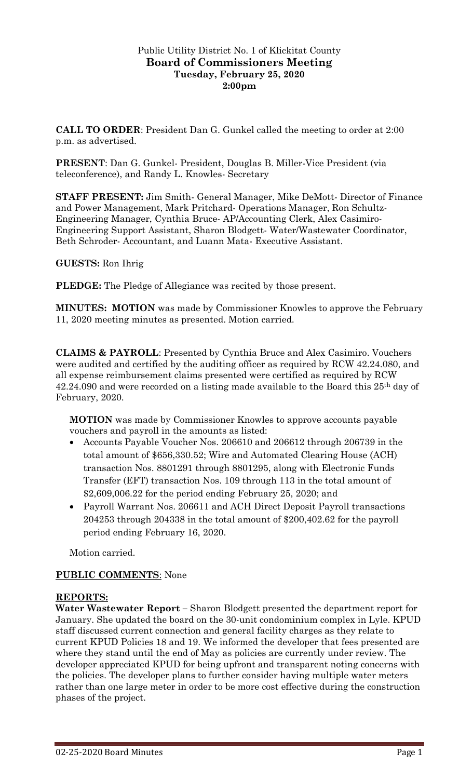#### Public Utility District No. 1 of Klickitat County **Board of Commissioners Meeting Tuesday, February 25, 2020 2:00pm**

**CALL TO ORDER**: President Dan G. Gunkel called the meeting to order at 2:00 p.m. as advertised.

**PRESENT**: Dan G. Gunkel- President, Douglas B. Miller-Vice President (via teleconference), and Randy L. Knowles- Secretary

**STAFF PRESENT:** Jim Smith- General Manager, Mike DeMott- Director of Finance and Power Management, Mark Pritchard- Operations Manager, Ron Schultz-Engineering Manager, Cynthia Bruce- AP/Accounting Clerk, Alex Casimiro-Engineering Support Assistant, Sharon Blodgett- Water/Wastewater Coordinator, Beth Schroder- Accountant, and Luann Mata- Executive Assistant.

**GUESTS:** Ron Ihrig

**PLEDGE:** The Pledge of Allegiance was recited by those present.

**MINUTES: MOTION** was made by Commissioner Knowles to approve the February 11, 2020 meeting minutes as presented. Motion carried.

**CLAIMS & PAYROLL**: Presented by Cynthia Bruce and Alex Casimiro. Vouchers were audited and certified by the auditing officer as required by RCW 42.24.080, and all expense reimbursement claims presented were certified as required by RCW 42.24.090 and were recorded on a listing made available to the Board this 25th day of February, 2020.

**MOTION** was made by Commissioner Knowles to approve accounts payable vouchers and payroll in the amounts as listed:

- Accounts Payable Voucher Nos. 206610 and 206612 through 206739 in the total amount of \$656,330.52; Wire and Automated Clearing House (ACH) transaction Nos. 8801291 through 8801295, along with Electronic Funds Transfer (EFT) transaction Nos. 109 through 113 in the total amount of \$2,609,006.22 for the period ending February 25, 2020; and
- Payroll Warrant Nos. 206611 and ACH Direct Deposit Payroll transactions 204253 through 204338 in the total amount of \$200,402.62 for the payroll period ending February 16, 2020.

Motion carried.

# **PUBLIC COMMENTS**: None

#### **REPORTS:**

**Water Wastewater Report –** Sharon Blodgett presented the department report for January. She updated the board on the 30-unit condominium complex in Lyle. KPUD staff discussed current connection and general facility charges as they relate to current KPUD Policies 18 and 19. We informed the developer that fees presented are where they stand until the end of May as policies are currently under review. The developer appreciated KPUD for being upfront and transparent noting concerns with the policies. The developer plans to further consider having multiple water meters rather than one large meter in order to be more cost effective during the construction phases of the project.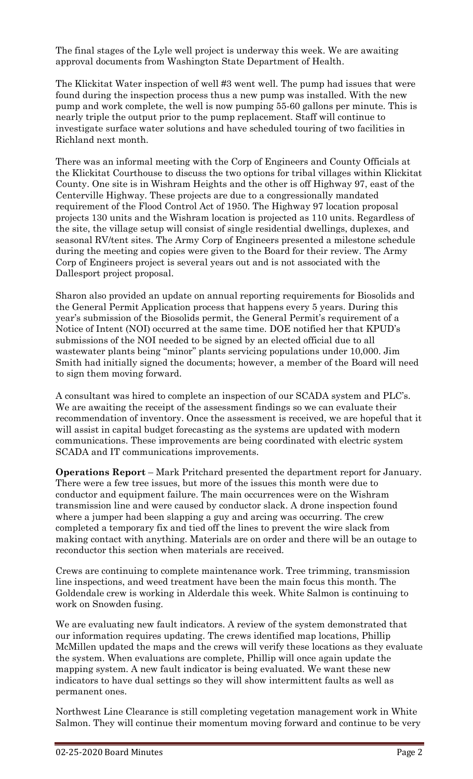The final stages of the Lyle well project is underway this week. We are awaiting approval documents from Washington State Department of Health.

The Klickitat Water inspection of well #3 went well. The pump had issues that were found during the inspection process thus a new pump was installed. With the new pump and work complete, the well is now pumping 55-60 gallons per minute. This is nearly triple the output prior to the pump replacement. Staff will continue to investigate surface water solutions and have scheduled touring of two facilities in Richland next month.

There was an informal meeting with the Corp of Engineers and County Officials at the Klickitat Courthouse to discuss the two options for tribal villages within Klickitat County. One site is in Wishram Heights and the other is off Highway 97, east of the Centerville Highway. These projects are due to a congressionally mandated requirement of the Flood Control Act of 1950. The Highway 97 location proposal projects 130 units and the Wishram location is projected as 110 units. Regardless of the site, the village setup will consist of single residential dwellings, duplexes, and seasonal RV/tent sites. The Army Corp of Engineers presented a milestone schedule during the meeting and copies were given to the Board for their review. The Army Corp of Engineers project is several years out and is not associated with the Dallesport project proposal.

Sharon also provided an update on annual reporting requirements for Biosolids and the General Permit Application process that happens every 5 years. During this year's submission of the Biosolids permit, the General Permit's requirement of a Notice of Intent (NOI) occurred at the same time. DOE notified her that KPUD's submissions of the NOI needed to be signed by an elected official due to all wastewater plants being "minor" plants servicing populations under 10,000. Jim Smith had initially signed the documents; however, a member of the Board will need to sign them moving forward.

A consultant was hired to complete an inspection of our SCADA system and PLC's. We are awaiting the receipt of the assessment findings so we can evaluate their recommendation of inventory. Once the assessment is received, we are hopeful that it will assist in capital budget forecasting as the systems are updated with modern communications. These improvements are being coordinated with electric system SCADA and IT communications improvements.

**Operations Report** – Mark Pritchard presented the department report for January. There were a few tree issues, but more of the issues this month were due to conductor and equipment failure. The main occurrences were on the Wishram transmission line and were caused by conductor slack. A drone inspection found where a jumper had been slapping a guy and arcing was occurring. The crew completed a temporary fix and tied off the lines to prevent the wire slack from making contact with anything. Materials are on order and there will be an outage to reconductor this section when materials are received.

Crews are continuing to complete maintenance work. Tree trimming, transmission line inspections, and weed treatment have been the main focus this month. The Goldendale crew is working in Alderdale this week. White Salmon is continuing to work on Snowden fusing.

We are evaluating new fault indicators. A review of the system demonstrated that our information requires updating. The crews identified map locations, Phillip McMillen updated the maps and the crews will verify these locations as they evaluate the system. When evaluations are complete, Phillip will once again update the mapping system. A new fault indicator is being evaluated. We want these new indicators to have dual settings so they will show intermittent faults as well as permanent ones.

Northwest Line Clearance is still completing vegetation management work in White Salmon. They will continue their momentum moving forward and continue to be very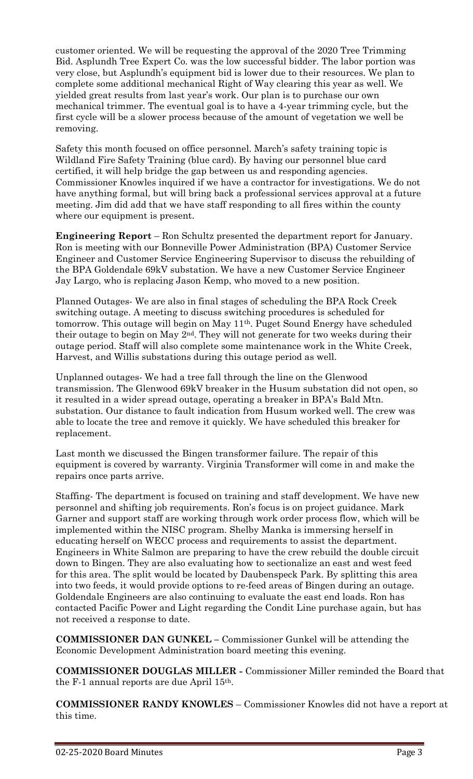customer oriented. We will be requesting the approval of the 2020 Tree Trimming Bid. Asplundh Tree Expert Co. was the low successful bidder. The labor portion was very close, but Asplundh's equipment bid is lower due to their resources. We plan to complete some additional mechanical Right of Way clearing this year as well. We yielded great results from last year's work. Our plan is to purchase our own mechanical trimmer. The eventual goal is to have a 4-year trimming cycle, but the first cycle will be a slower process because of the amount of vegetation we well be removing.

Safety this month focused on office personnel. March's safety training topic is Wildland Fire Safety Training (blue card). By having our personnel blue card certified, it will help bridge the gap between us and responding agencies. Commissioner Knowles inquired if we have a contractor for investigations. We do not have anything formal, but will bring back a professional services approval at a future meeting. Jim did add that we have staff responding to all fires within the county where our equipment is present.

**Engineering Report** – Ron Schultz presented the department report for January. Ron is meeting with our Bonneville Power Administration (BPA) Customer Service Engineer and Customer Service Engineering Supervisor to discuss the rebuilding of the BPA Goldendale 69kV substation. We have a new Customer Service Engineer Jay Largo, who is replacing Jason Kemp, who moved to a new position.

Planned Outages- We are also in final stages of scheduling the BPA Rock Creek switching outage. A meeting to discuss switching procedures is scheduled for tomorrow. This outage will begin on May 11th. Puget Sound Energy have scheduled their outage to begin on May 2nd. They will not generate for two weeks during their outage period. Staff will also complete some maintenance work in the White Creek, Harvest, and Willis substations during this outage period as well.

Unplanned outages- We had a tree fall through the line on the Glenwood transmission. The Glenwood 69kV breaker in the Husum substation did not open, so it resulted in a wider spread outage, operating a breaker in BPA's Bald Mtn. substation. Our distance to fault indication from Husum worked well. The crew was able to locate the tree and remove it quickly. We have scheduled this breaker for replacement.

Last month we discussed the Bingen transformer failure. The repair of this equipment is covered by warranty. Virginia Transformer will come in and make the repairs once parts arrive.

Staffing- The department is focused on training and staff development. We have new personnel and shifting job requirements. Ron's focus is on project guidance. Mark Garner and support staff are working through work order process flow, which will be implemented within the NISC program. Shelby Manka is immersing herself in educating herself on WECC process and requirements to assist the department. Engineers in White Salmon are preparing to have the crew rebuild the double circuit down to Bingen. They are also evaluating how to sectionalize an east and west feed for this area. The split would be located by Daubenspeck Park. By splitting this area into two feeds, it would provide options to re-feed areas of Bingen during an outage. Goldendale Engineers are also continuing to evaluate the east end loads. Ron has contacted Pacific Power and Light regarding the Condit Line purchase again, but has not received a response to date.

**COMMISSIONER DAN GUNKEL –** Commissioner Gunkel will be attending the Economic Development Administration board meeting this evening.

**COMMISSIONER DOUGLAS MILLER -** Commissioner Miller reminded the Board that the F-1 annual reports are due April 15th.

**COMMISSIONER RANDY KNOWLES** – Commissioner Knowles did not have a report at this time.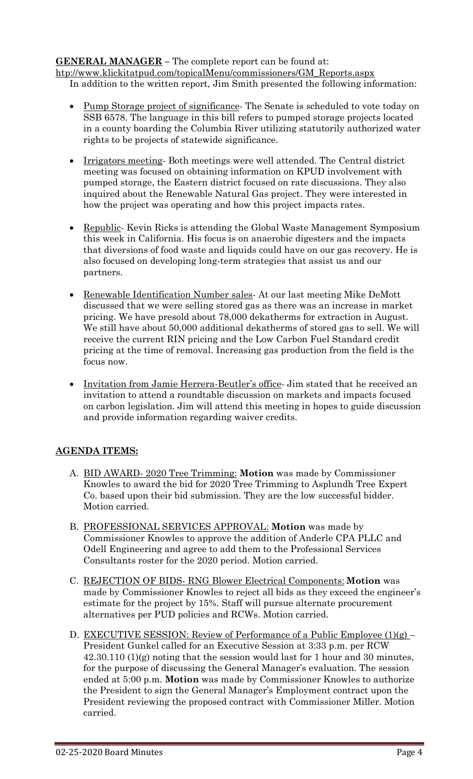# **GENERAL MANAGER –** The complete report can be found at:

[htp://www.klickitatpud.com/topicalMenu/commissioners/GM\\_Reports.aspx](http://www.klickitatpud.com/topicalMenu/commissioners/GM_Reports.aspx) In addition to the written report, Jim Smith presented the following information:

- Pump Storage project of significance. The Senate is scheduled to vote today on SSB 6578. The language in this bill refers to pumped storage projects located in a county boarding the Columbia River utilizing statutorily authorized water rights to be projects of statewide significance.
- Irrigators meeting- Both meetings were well attended. The Central district meeting was focused on obtaining information on KPUD involvement with pumped storage, the Eastern district focused on rate discussions. They also inquired about the Renewable Natural Gas project. They were interested in how the project was operating and how this project impacts rates.
- Republic- Kevin Ricks is attending the Global Waste Management Symposium this week in California. His focus is on anaerobic digesters and the impacts that diversions of food waste and liquids could have on our gas recovery. He is also focused on developing long-term strategies that assist us and our partners.
- Renewable Identification Number sales- At our last meeting Mike DeMott discussed that we were selling stored gas as there was an increase in market pricing. We have presold about 78,000 dekatherms for extraction in August. We still have about 50,000 additional dekatherms of stored gas to sell. We will receive the current RIN pricing and the Low Carbon Fuel Standard credit pricing at the time of removal. Increasing gas production from the field is the focus now.
- Invitation from Jamie Herrera-Beutler's office- Jim stated that he received an invitation to attend a roundtable discussion on markets and impacts focused on carbon legislation. Jim will attend this meeting in hopes to guide discussion and provide information regarding waiver credits.

# **AGENDA ITEMS:**

- A. BID AWARD- 2020 Tree Trimming: **Motion** was made by Commissioner Knowles to award the bid for 2020 Tree Trimming to Asplundh Tree Expert Co. based upon their bid submission. They are the low successful bidder. Motion carried.
- B. PROFESSIONAL SERVICES APPROVAL: **Motion** was made by Commissioner Knowles to approve the addition of Anderle CPA PLLC and Odell Engineering and agree to add them to the Professional Services Consultants roster for the 2020 period. Motion carried.
- C. REJECTION OF BIDS- RNG Blower Electrical Components: **Motion** was made by Commissioner Knowles to reject all bids as they exceed the engineer's estimate for the project by 15%. Staff will pursue alternate procurement alternatives per PUD policies and RCWs. Motion carried.
- D. EXECUTIVE SESSION: Review of Performance of a Public Employee (1)(g) President Gunkel called for an Executive Session at 3:33 p.m. per RCW 42.30.110 (1)(g) noting that the session would last for 1 hour and 30 minutes, for the purpose of discussing the General Manager's evaluation. The session ended at 5:00 p.m. **Motion** was made by Commissioner Knowles to authorize the President to sign the General Manager's Employment contract upon the President reviewing the proposed contract with Commissioner Miller. Motion carried.